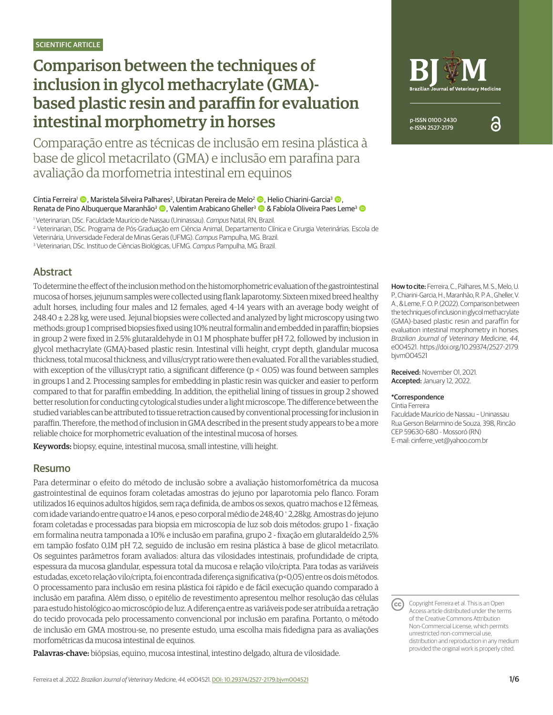# Comparison between the techniques of inclusion in glycol methacrylate (GMA) based plastic resin and paraffin for evaluation intestinal morphometry in horses

Comparação entre as técnicas de inclusão em resina plástica à base de glicol metacrilato (GMA) e inclusão em parafina para avaliação da morfometria intestinal em equinos

Cíntia Ferreira<sup>1</sup> © , Maristela Silveira Palhares<sup>2</sup>, Ubiratan Pereira de Melo<sup>2</sup> © , Helio Chiarini-Garcia<sup>3</sup> © , Renata de Pino Albuquerque Maranhão<sup>3</sup> (D, Valentim Arabicano Gheller<sup>3</sup> © & Fabíola Oliveira Paes Leme<sup>3</sup> ©

1 Veterinarian, DSc. Faculdade Maurício de Nassau (Uninassau). *Campus* Natal, RN, Brazil.

2 Veterinarian, DSc. Programa de Pós-Graduação em Ciência Animal, Departamento Clínica e Cirurgia Veterinárias. Escola de

Veterinária, Universidade Federal de Minas Gerais (UFMG). *Campus* Pampulha, MG. Brazil.

3 Veterinarian, DSc. Instituo de Ciências Biológicas, UFMG. *Campus* Pampulha, MG. Brazil.

# Abstract

To determine the effect of the inclusion method on the histomorphometric evaluation of the gastrointestinal mucosa of horses, jejunum samples were collected using flank laparotomy. Sixteen mixed breed healthy adult horses, including four males and 12 females, aged 4–14 years with an average body weight of 248.40 ± 2.28 kg, were used. Jejunal biopsies were collected and analyzed by light microscopy using two methods: group 1 comprised biopsies fixed using 10% neutral formalin and embedded in paraffin; biopsies in group 2 were fixed in 2.5% glutaraldehyde in 0.1 M phosphate buffer pH 7.2, followed by inclusion in glycol methacrylate (GMA)-based plastic resin. Intestinal villi height, crypt depth, glandular mucosa thickness, total mucosal thickness, and villus/crypt ratio were then evaluated. For all the variables studied, with exception of the villus/crypt ratio, a significant difference (p < 0.05) was found between samples in groups 1 and 2. Processing samples for embedding in plastic resin was quicker and easier to perform compared to that for paraffin embedding. In addition, the epithelial lining of tissues in group 2 showed better resolution for conducting cytological studies under a light microscope. The difference between the studied variables can be attributed to tissue retraction caused by conventional processing for inclusion in paraffin. Therefore, the method of inclusion in GMA described in the present study appears to be a more reliable choice for morphometric evaluation of the intestinal mucosa of horses.

Keywords: biopsy, equine, intestinal mucosa, small intestine, villi height.

#### Resumo

Para determinar o efeito do método de inclusão sobre a avaliação histomorfométrica da mucosa gastrointestinal de equinos foram coletadas amostras do jejuno por laparotomia pelo flanco. Foram utilizados 16 equinos adultos hígidos, sem raça definida, de ambos os sexos, quatro machos e 12 fêmeas, com idade variando entre quatro e 14 anos, e peso corporal médio de 248,40 + 2,28kg. Amostras do jejuno foram coletadas e processadas para biopsia em microscopia de luz sob dois métodos: grupo 1 - fixação em formalina neutra tamponada a 10% e inclusão em parafina, grupo 2 - fixação em glutaraldeído 2,5% em tampão fosfato 0,1M pH 7,2, seguido de inclusão em resina plástica à base de glicol metacrilato. Os seguintes parâmetros foram avaliados: altura das vilosidades intestinais, profundidade de cripta, espessura da mucosa glandular, espessura total da mucosa e relação vilo/cripta. Para todas as variáveis estudadas, exceto relação vilo/cripta, foi encontrada diferença significativa (p<0,05) entre os dois métodos. O processamento para inclusão em resina plástica foi rápido e de fácil execução quando comparado à inclusão em parafina. Além disso, o epitélio de revestimento apresentou melhor resolução das células para estudo histológico ao microscópio de luz. A diferença entre as variáveis pode ser atribuída a retração do tecido provocada pelo processamento convencional por inclusão em parafina. Portanto, o método de inclusão em GMA mostrou-se, no presente estudo, uma escolha mais fidedigna para as avaliações morfométricas da mucosa intestinal de equinos.

Palavras-chave: biópsias, equino, mucosa intestinal, intestino delgado, altura de vilosidade.



ဥ

How to cite: Ferreira, C., Palhares, M. S., Melo, U. P., Chiarini-Garcia, H., Maranhão, R. P. A., Gheller, V. A., & Leme, F. O. P. (2022). Comparison between the techniques of inclusion in glycol methacrylate (GMA)-based plastic resin and paraffin for evaluation intestinal morphometry in horses. *Brazilian Journal of Veterinary Medicine*, *44*, e004521. [https://doi.org/10.29374/2527-2179.](https://doi.org/10.29374/2527-2179.bjvm004521) [bjvm004521](https://doi.org/10.29374/2527-2179.bjvm004521)

Received: November 01, 2021. Accepted: January 12, 2022.

#### \*Correspondence

Cíntia Ferreira Faculdade Maurício de Nassau – Uninassau Rua Gerson Belarmino de Souza, 398, Rincão CEP 59630-680 - Mossoró (RN) E-mail: cinferre\_vet@yahoo.com.br

Copyright Ferreira et al. This is an Open Access article distributed under the terms of the Creative Commons Attribution Non-Commercial License, which permits unrestricted non-commercial use, distribution and reproduction in any medium provided the original work is properly cited.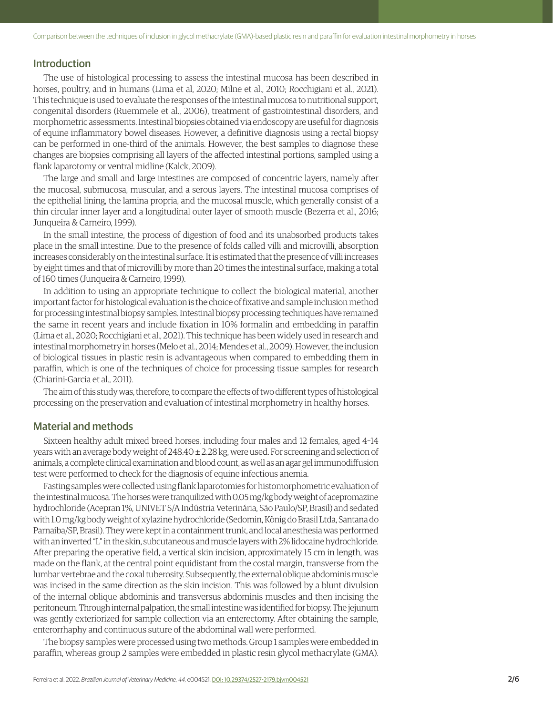# Introduction

The use of histological processing to assess the intestinal mucosa has been described in horses, poultry, and in humans (Lima et al, 2020; Milne et al., 2010; Rocchigiani et al., 2021). This technique is used to evaluate the responses of the intestinal mucosa to nutritional support, congenital disorders (Ruemmele et al., 2006), treatment of gastrointestinal disorders, and morphometric assessments. Intestinal biopsies obtained via endoscopy are useful for diagnosis of equine inflammatory bowel diseases. However, a definitive diagnosis using a rectal biopsy can be performed in one-third of the animals. However, the best samples to diagnose these changes are biopsies comprising all layers of the affected intestinal portions, sampled using a flank laparotomy or ventral midline (Kalck, 2009).

The large and small and large intestines are composed of concentric layers, namely after the mucosal, submucosa, muscular, and a serous layers. The intestinal mucosa comprises of the epithelial lining, the lamina propria, and the mucosal muscle, which generally consist of a thin circular inner layer and a longitudinal outer layer of smooth muscle (Bezerra et al., 2016; Junqueira & Carneiro, 1999).

In the small intestine, the process of digestion of food and its unabsorbed products takes place in the small intestine. Due to the presence of folds called villi and microvilli, absorption increases considerably on the intestinal surface. It is estimated that the presence of villi increases by eight times and that of microvilli by more than 20 times the intestinal surface, making a total of 160 times (Junqueira & Carneiro, 1999).

In addition to using an appropriate technique to collect the biological material, another important factor for histological evaluation is the choice of fixative and sample inclusion method for processing intestinal biopsy samples. Intestinal biopsy processing techniques have remained the same in recent years and include fixation in 10% formalin and embedding in paraffin (Lima et al., 2020; Rocchigiani et al., 2021). This technique has been widely used in research and intestinal morphometry in horses (Melo et al., 2014; Mendes et al., 2009). However, the inclusion of biological tissues in plastic resin is advantageous when compared to embedding them in paraffin, which is one of the techniques of choice for processing tissue samples for research (Chiarini-Garcia et al., 2011).

The aim of this study was, therefore, to compare the effects of two different types of histological processing on the preservation and evaluation of intestinal morphometry in healthy horses.

# Material and methods

Sixteen healthy adult mixed breed horses, including four males and 12 females, aged 4–14 years with an average body weight of 248.40 ± 2.28 kg, were used. For screening and selection of animals, a complete clinical examination and blood count, as well as an agar gel immunodiffusion test were performed to check for the diagnosis of equine infectious anemia.

Fasting samples were collected using flank laparotomies for histomorphometric evaluation of the intestinal mucosa. The horses were tranquilized with 0.05 mg/kg body weight of acepromazine hydrochloride (Acepran 1%, UNIVET S/A Indústria Veterinária, São Paulo/SP, Brasil) and sedated with 1.0 mg/kg body weight of xylazine hydrochloride (Sedomin, König do Brasil Ltda, Santana do Parnaíba/SP, Brasil). They were kept in a containment trunk, and local anesthesia was performed with an inverted "L" in the skin, subcutaneous and muscle layers with 2% lidocaine hydrochloride. After preparing the operative field, a vertical skin incision, approximately 15 cm in length, was made on the flank, at the central point equidistant from the costal margin, transverse from the lumbar vertebrae and the coxal tuberosity. Subsequently, the external oblique abdominis muscle was incised in the same direction as the skin incision. This was followed by a blunt divulsion of the internal oblique abdominis and transversus abdominis muscles and then incising the peritoneum. Through internal palpation, the small intestine was identified for biopsy. The jejunum was gently exteriorized for sample collection via an enterectomy. After obtaining the sample, enterorrhaphy and continuous suture of the abdominal wall were performed.

The biopsy samples were processed using two methods. Group 1 samples were embedded in paraffin, whereas group 2 samples were embedded in plastic resin glycol methacrylate (GMA).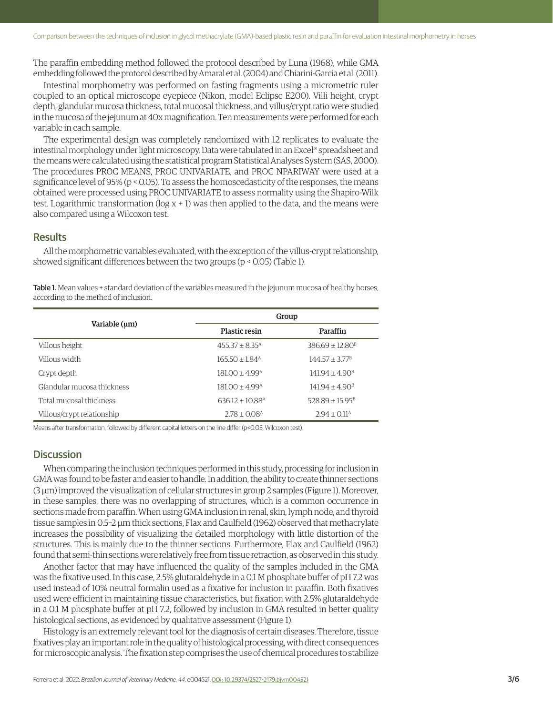The paraffin embedding method followed the protocol described by Luna (1968), while GMA embedding followed the protocol described by Amaral et al. (2004) and Chiarini-Garcia et al. (2011).

Intestinal morphometry was performed on fasting fragments using a micrometric ruler coupled to an optical microscope eyepiece (Nikon, model Eclipse E200). Villi height, crypt depth, glandular mucosa thickness, total mucosal thickness, and villus/crypt ratio were studied in the mucosa of the jejunum at 40x magnification. Ten measurements were performed for each variable in each sample.

The experimental design was completely randomized with 12 replicates to evaluate the intestinal morphology under light microscopy. Data were tabulated in an Excel® spreadsheet and the means were calculated using the statistical program Statistical Analyses System (SAS, 2000). The procedures PROC MEANS, PROC UNIVARIATE, and PROC NPARIWAY were used at a significance level of 95% (p < 0.05). To assess the homoscedasticity of the responses, the means obtained were processed using PROC UNIVARIATE to assess normality using the Shapiro-Wilk test. Logarithmic transformation ( $\log x + 1$ ) was then applied to the data, and the means were also compared using a Wilcoxon test.

## **Results**

All the morphometric variables evaluated, with the exception of the villus-crypt relationship, showed significant differences between the two groups (p < 0.05) (Table 1).

Table 1. Mean values + standard deviation of the variables measured in the jejunum mucosa of healthy horses, according to the method of inclusion.

| Variable $(\mu m)$         | Group                           |                               |
|----------------------------|---------------------------------|-------------------------------|
|                            | <b>Plastic resin</b>            | Paraffin                      |
| Villous height             | $455.37 \pm 8.35^{\text{A}}$    | $386.69 \pm 12.80^{\text{B}}$ |
| Villous width              | $165.50 \pm 1.84$ <sup>A</sup>  | $14457 + 377B$                |
| Crypt depth                | $181.00 \pm 4.99$ <sup>A</sup>  | $141.94 \pm 4.90^{\text{B}}$  |
| Glandular mucosa thickness | $18100 + 499A$                  | $141.94 \pm 4.90^{\text{B}}$  |
| Total mucosal thickness    | $636.12 \pm 10.88$ <sup>A</sup> | $528.89 \pm 15.95^{\text{B}}$ |
| Villous/crypt relationship | $2.78 \pm 0.08$ <sup>A</sup>    | $2.94 \pm 0.11^{\text{A}}$    |

Means after transformation, followed by different capital letters on the line differ (p<0.05, Wilcoxon test).

# **Discussion**

When comparing the inclusion techniques performed in this study, processing for inclusion in GMA was found to be faster and easier to handle. In addition, the ability to create thinner sections (3 µm) improved the visualization of cellular structures in group 2 samples (Figure 1). Moreover, in these samples, there was no overlapping of structures, which is a common occurrence in sections made from paraffin. When using GMA inclusion in renal, skin, lymph node, and thyroid tissue samples in 0.5–2 µm thick sections, Flax and Caulfield (1962) observed that methacrylate increases the possibility of visualizing the detailed morphology with little distortion of the structures. This is mainly due to the thinner sections. Furthermore, Flax and Caulfield (1962) found that semi-thin sections were relatively free from tissue retraction, as observed in this study.

Another factor that may have influenced the quality of the samples included in the GMA was the fixative used. In this case, 2.5% glutaraldehyde in a 0.1 M phosphate buffer of pH 7.2 was used instead of 10% neutral formalin used as a fixative for inclusion in paraffin. Both fixatives used were efficient in maintaining tissue characteristics, but fixation with 2.5% glutaraldehyde in a 0.1 M phosphate buffer at pH 7.2, followed by inclusion in GMA resulted in better quality histological sections, as evidenced by qualitative assessment (Figure 1).

Histology is an extremely relevant tool for the diagnosis of certain diseases. Therefore, tissue fixatives play an important role in the quality of histological processing, with direct consequences for microscopic analysis. The fixation step comprises the use of chemical procedures to stabilize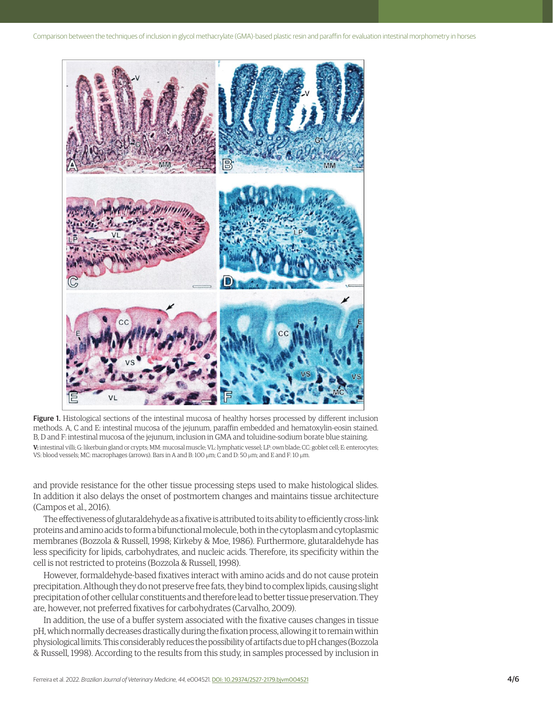

Figure 1. Histological sections of the intestinal mucosa of healthy horses processed by different inclusion methods. A, C and E: intestinal mucosa of the jejunum, paraffin embedded and hematoxylin-eosin stained. B, D and F: intestinal mucosa of the jejunum, inclusion in GMA and toluidine-sodium borate blue staining. V: intestinal villi; G: likerbuin gland or crypts; MM: mucosal muscle; VL: lymphatic vessel; LP: own blade; CC: goblet cell; E: enterocytes; VS: blood vessels; MC: macrophages (arrows). Bars in A and B: 100 µm; C and D: 50 µm; and E and F: 10 µm.

and provide resistance for the other tissue processing steps used to make histological slides. In addition it also delays the onset of postmortem changes and maintains tissue architecture (Campos et al., 2016).

The effectiveness of glutaraldehyde as a fixative is attributed to its ability to efficiently cross-link proteins and amino acids to form a bifunctional molecule, both in the cytoplasm and cytoplasmic membranes (Bozzola & Russell, 1998; Kirkeby & Moe, 1986). Furthermore, glutaraldehyde has less specificity for lipids, carbohydrates, and nucleic acids. Therefore, its specificity within the cell is not restricted to proteins (Bozzola & Russell, 1998).

However, formaldehyde-based fixatives interact with amino acids and do not cause protein precipitation. Although they do not preserve free fats, they bind to complex lipids, causing slight precipitation of other cellular constituents and therefore lead to better tissue preservation. They are, however, not preferred fixatives for carbohydrates (Carvalho, 2009).

In addition, the use of a buffer system associated with the fixative causes changes in tissue pH, which normally decreases drastically during the fixation process, allowing it to remain within physiological limits. This considerably reduces the possibility of artifacts due to pH changes (Bozzola & Russell, 1998). According to the results from this study, in samples processed by inclusion in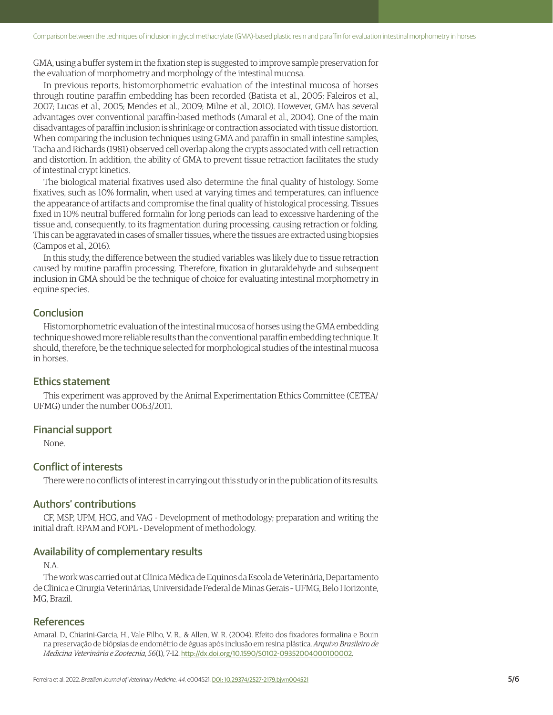GMA, using a buffer system in the fixation step is suggested to improve sample preservation for the evaluation of morphometry and morphology of the intestinal mucosa.

In previous reports, histomorphometric evaluation of the intestinal mucosa of horses through routine paraffin embedding has been recorded (Batista et al., 2005; Faleiros et al., 2007; Lucas et al., 2005; Mendes et al., 2009; Milne et al., 2010). However, GMA has several advantages over conventional paraffin-based methods (Amaral et al., 2004). One of the main disadvantages of paraffin inclusion is shrinkage or contraction associated with tissue distortion. When comparing the inclusion techniques using GMA and paraffin in small intestine samples, Tacha and Richards (1981) observed cell overlap along the crypts associated with cell retraction and distortion. In addition, the ability of GMA to prevent tissue retraction facilitates the study of intestinal crypt kinetics.

The biological material fixatives used also determine the final quality of histology. Some fixatives, such as 10% formalin, when used at varying times and temperatures, can influence the appearance of artifacts and compromise the final quality of histological processing. Tissues fixed in 10% neutral buffered formalin for long periods can lead to excessive hardening of the tissue and, consequently, to its fragmentation during processing, causing retraction or folding. This can be aggravated in cases of smaller tissues, where the tissues are extracted using biopsies (Campos et al., 2016).

In this study, the difference between the studied variables was likely due to tissue retraction caused by routine paraffin processing. Therefore, fixation in glutaraldehyde and subsequent inclusion in GMA should be the technique of choice for evaluating intestinal morphometry in equine species.

# **Conclusion**

Histomorphometric evaluation of the intestinal mucosa of horses using the GMA embedding technique showed more reliable results than the conventional paraffin embedding technique. It should, therefore, be the technique selected for morphological studies of the intestinal mucosa in horses.

## Ethics statement

This experiment was approved by the Animal Experimentation Ethics Committee (CETEA/ UFMG) under the number 0063/2011.

# Financial support

None.

# Conflict of interests

There were no conflicts of interest in carrying out this study or in the publication of its results.

# Authors' contributions

CF, MSP, UPM, HCG, and VAG - Development of methodology; preparation and writing the initial draft. RPAM and FOPL - Development of methodology.

#### Availability of complementary results

# N.A.

The work was carried out at Clínica Médica de Equinos da Escola de Veterinária, Departamento de Clínica e Cirurgia Veterinárias, Universidade Federal de Minas Gerais – UFMG, Belo Horizonte, MG, Brazil.

# References

Amaral, D., Chiarini-Garcia, H., Vale Filho, V. R., & Allen, W. R. (2004). Efeito dos fixadores formalina e Bouin na preservação de biópsias de endométrio de éguas após inclusão em resina plástica. *Arquivo Brasileiro de Medicina Veterinária e Zootecnia*, *56*(1), 7-12. [http://dx.doi.org/10.1590/S0102-09352004000100002](https://doi.org/10.1590/S0102-09352004000100002).